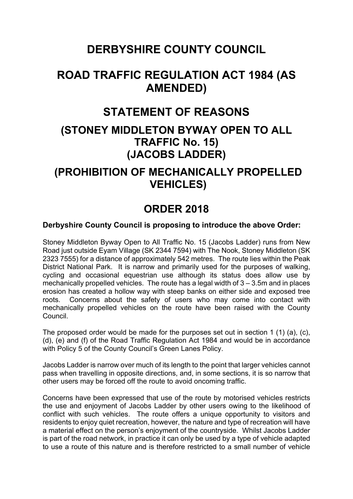# **DERBYSHIRE COUNTY COUNCIL**

# **ROAD TRAFFIC REGULATION ACT 1984 (AS AMENDED)**

### **STATEMENT OF REASONS**

### **(STONEY MIDDLETON BYWAY OPEN TO ALL TRAFFIC No. 15) (JACOBS LADDER)**

### **(PROHIBITION OF MECHANICALLY PROPELLED VEHICLES)**

## **ORDER 2018**

#### **Derbyshire County Council is proposing to introduce the above Order:**

Stoney Middleton Byway Open to All Traffic No. 15 (Jacobs Ladder) runs from New Road just outside Eyam Village (SK 2344 7594) with The Nook, Stoney Middleton (SK 2323 7555) for a distance of approximately 542 metres. The route lies within the Peak District National Park. It is narrow and primarily used for the purposes of walking, cycling and occasional equestrian use although its status does allow use by mechanically propelled vehicles. The route has a legal width of  $3 - 3.5$ m and in places erosion has created a hollow way with steep banks on either side and exposed tree roots. Concerns about the safety of users who may come into contact with mechanically propelled vehicles on the route have been raised with the County Council.

The proposed order would be made for the purposes set out in section 1 (1) (a), (c), (d), (e) and (f) of the Road Traffic Regulation Act 1984 and would be in accordance with Policy 5 of the County Council's Green Lanes Policy.

Jacobs Ladder is narrow over much of its length to the point that larger vehicles cannot pass when travelling in opposite directions, and, in some sections, it is so narrow that other users may be forced off the route to avoid oncoming traffic.

Concerns have been expressed that use of the route by motorised vehicles restricts the use and enjoyment of Jacobs Ladder by other users owing to the likelihood of conflict with such vehicles. The route offers a unique opportunity to visitors and residents to enjoy quiet recreation, however, the nature and type of recreation will have a material effect on the person's enjoyment of the countryside. Whilst Jacobs Ladder is part of the road network, in practice it can only be used by a type of vehicle adapted to use a route of this nature and is therefore restricted to a small number of vehicle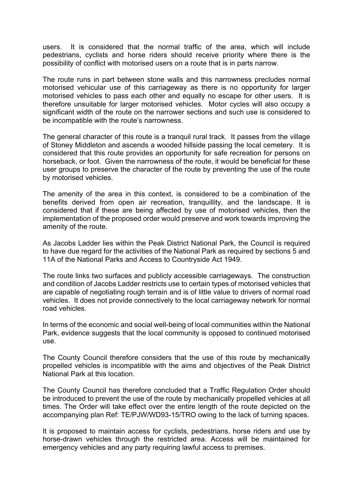users. It is considered that the normal traffic of the area, which will include pedestrians, cyclists and horse riders should receive priority where there is the possibility of conflict with motorised users on a route that is in parts narrow.

The route runs in part between stone walls and this narrowness precludes normal motorised vehicular use of this carriageway as there is no opportunity for larger motorised vehicles to pass each other and equally no escape for other users. It is therefore unsuitable for larger motorised vehicles. Motor cycles will also occupy a significant width of the route on the narrower sections and such use is considered to be incompatible with the route's narrowness.

The general character of this route is a tranquil rural track. It passes from the village of Stoney Middleton and ascends a wooded hillside passing the local cemetery. It is considered that this route provides an opportunity for safe recreation for persons on horseback, or foot. Given the narrowness of the route, it would be beneficial for these user groups to preserve the character of the route by preventing the use of the route by motorised vehicles.

The amenity of the area in this context, is considered to be a combination of the benefits derived from open air recreation, tranquillity, and the landscape. It is considered that if these are being affected by use of motorised vehicles, then the implementation of the proposed order would preserve and work towards improving the amenity of the route.

As Jacobs Ladder lies within the Peak District National Park, the Council is required to have due regard for the activities of the National Park as required by sections 5 and 11A of the National Parks and Access to Countryside Act 1949.

The route links two surfaces and publicly accessible carriageways. The construction and condition of Jacobs Ladder restricts use to certain types of motorised vehicles that are capable of negotiating rough terrain and is of little value to drivers of normal road vehicles. It does not provide connectively to the local carriageway network for normal road vehicles.

In terms of the economic and social well-being of local communities within the National Park, evidence suggests that the local community is opposed to continued motorised use.

The County Council therefore considers that the use of this route by mechanically propelled vehicles is incompatible with the aims and objectives of the Peak District National Park at this location.

The County Council has therefore concluded that a Traffic Regulation Order should be introduced to prevent the use of the route by mechanically propelled vehicles at all times. The Order will take effect over the entire length of the route depicted on the accompanying plan Ref: TE/PJW/WD93-15/TRO owing to the lack of turning spaces.

It is proposed to maintain access for cyclists, pedestrians, horse riders and use by horse-drawn vehicles through the restricted area. Access will be maintained for emergency vehicles and any party requiring lawful access to premises.